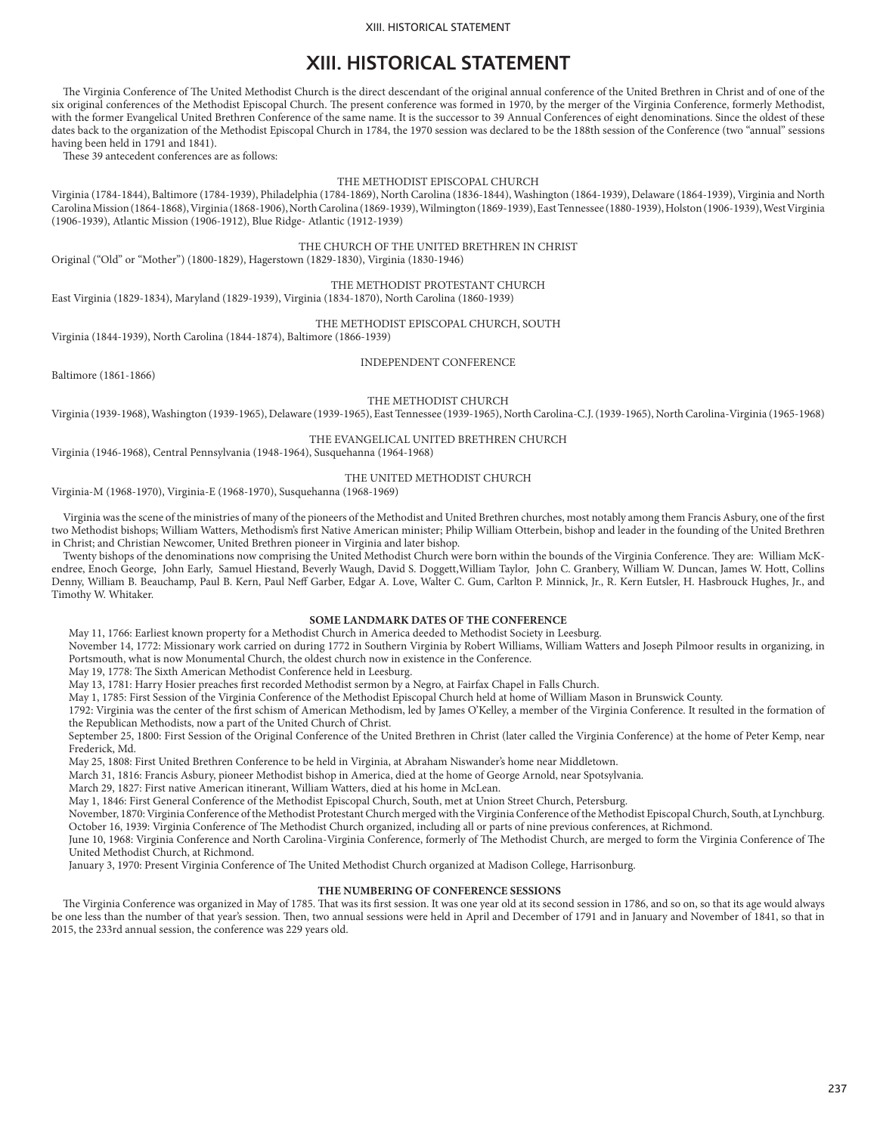#### XIII. HISTORICAL STATEMENT

# **XIII. HISTORICAL STATEMENT**

The Virginia Conference of The United Methodist Church is the direct descendant of the original annual conference of the United Brethren in Christ and of one of the six original conferences of the Methodist Episcopal Church. The present conference was formed in 1970, by the merger of the Virginia Conference, formerly Methodist, with the former Evangelical United Brethren Conference of the same name. It is the successor to 39 Annual Conferences of eight denominations. Since the oldest of these dates back to the organization of the Methodist Episcopal Church in 1784, the 1970 session was declared to be the 188th session of the Conference (two "annual" sessions having been held in 1791 and 1841).

These 39 antecedent conferences are as follows:

#### THE METHODIST EPISCOPAL CHURCH

Virginia (1784-1844), Baltimore (1784-1939), Philadelphia (1784-1869), North Carolina (1836-1844), Washington (1864-1939), Delaware (1864-1939), Virginia and North Carolina Mission (1864-1868), Virginia (1868-1906), North Carolina (1869-1939), Wilmington (1869-1939), East Tennessee (1880-1939), Holston (1906-1939), West Virginia (1906-1939), Atlantic Mission (1906-1912), Blue Ridge- Atlantic (1912-1939)

THE CHURCH OF THE UNITED BRETHREN IN CHRIST

Original ("Old" or "Mother") (1800-1829), Hagerstown (1829-1830), Virginia (1830-1946)

THE METHODIST PROTESTANT CHURCH East Virginia (1829-1834), Maryland (1829-1939), Virginia (1834-1870), North Carolina (1860-1939)

THE METHODIST EPISCOPAL CHURCH, SOUTH

Virginia (1844-1939), North Carolina (1844-1874), Baltimore (1866-1939)

INDEPENDENT CONFERENCE

Baltimore (1861-1866)

THE METHODIST CHURCH

Virginia (1939-1968), Washington (1939-1965), Delaware (1939-1965), East Tennessee (1939-1965), North Carolina-C.J. (1939-1965), North Carolina-Virginia (1965-1968)

THE EVANGELICAL UNITED BRETHREN CHURCH

Virginia (1946-1968), Central Pennsylvania (1948-1964), Susquehanna (1964-1968)

### THE UNITED METHODIST CHURCH

Virginia-M (1968-1970), Virginia-E (1968-1970), Susquehanna (1968-1969)

Virginia was the scene of the ministries of many of the pioneers of the Methodist and United Brethren churches, most notably among them Francis Asbury, one of the first two Methodist bishops; William Watters, Methodism's first Native American minister; Philip William Otterbein, bishop and leader in the founding of the United Brethren in Christ; and Christian Newcomer, United Brethren pioneer in Virginia and later bishop.

Twenty bishops of the denominations now comprising the United Methodist Church were born within the bounds of the Virginia Conference. They are: William McKendree, Enoch George, John Early, Samuel Hiestand, Beverly Waugh, David S. Doggett,William Taylor, John C. Granbery, William W. Duncan, James W. Hott, Collins Denny, William B. Beauchamp, Paul B. Kern, Paul Neff Garber, Edgar A. Love, Walter C. Gum, Carlton P. Minnick, Jr., R. Kern Eutsler, H. Hasbrouck Hughes, Jr., and Timothy W. Whitaker.

#### **SOME LANDMARK DATES OF THE CONFERENCE**

May 11, 1766: Earliest known property for a Methodist Church in America deeded to Methodist Society in Leesburg.

November 14, 1772: Missionary work carried on during 1772 in Southern Virginia by Robert Williams, William Watters and Joseph Pilmoor results in organizing, in Portsmouth, what is now Monumental Church, the oldest church now in existence in the Conference.

May 19, 1778: The Sixth American Methodist Conference held in Leesburg.

May 13, 1781: Harry Hosier preaches first recorded Methodist sermon by a Negro, at Fairfax Chapel in Falls Church.

May 1, 1785: First Session of the Virginia Conference of the Methodist Episcopal Church held at home of William Mason in Brunswick County.

1792: Virginia was the center of the first schism of American Methodism, led by James O'Kelley, a member of the Virginia Conference. It resulted in the formation of the Republican Methodists, now a part of the United Church of Christ.

September 25, 1800: First Session of the Original Conference of the United Brethren in Christ (later called the Virginia Conference) at the home of Peter Kemp, near Frederick, Md.

May 25, 1808: First United Brethren Conference to be held in Virginia, at Abraham Niswander's home near Middletown.

March 31, 1816: Francis Asbury, pioneer Methodist bishop in America, died at the home of George Arnold, near Spotsylvania.

March 29, 1827: First native American itinerant, William Watters, died at his home in McLean.

May 1, 1846: First General Conference of the Methodist Episcopal Church, South, met at Union Street Church, Petersburg.

November, 1870: Virginia Conference of the Methodist Protestant Church merged with the Virginia Conference of the Methodist Episcopal Church, South, at Lynchburg. October 16, 1939: Virginia Conference of The Methodist Church organized, including all or parts of nine previous conferences, at Richmond.

June 10, 1968: Virginia Conference and North Carolina-Virginia Conference, formerly of The Methodist Church, are merged to form the Virginia Conference of The United Methodist Church, at Richmond.

January 3, 1970: Present Virginia Conference of The United Methodist Church organized at Madison College, Harrisonburg.

#### **THE NUMBERING OF CONFERENCE SESSIONS**

The Virginia Conference was organized in May of 1785. That was its first session. It was one year old at its second session in 1786, and so on, so that its age would always be one less than the number of that year's session. Then, two annual sessions were held in April and December of 1791 and in January and November of 1841, so that in 2015, the 233rd annual session, the conference was 229 years old.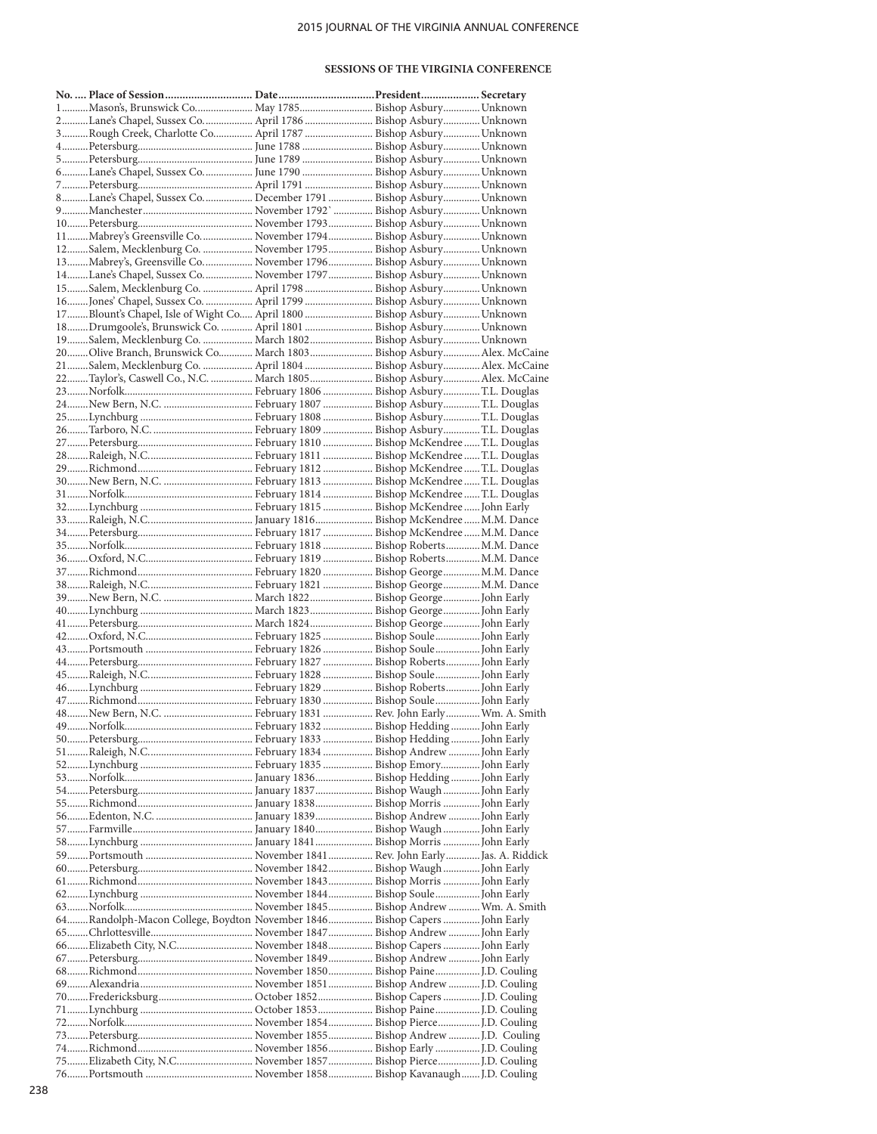# 2015 JOURNAL OF THE VIRGINIA ANNUAL CONFERENCE

### **SESSIONS OF THE VIRGINIA CONFERENCE**

| 1Mason's, Brunswick Co May 1785 Bishop Asbury Unknown                     |  |  |
|---------------------------------------------------------------------------|--|--|
| 2Lane's Chapel, Sussex Co April 1786  Bishop Asbury  Unknown              |  |  |
| 3Rough Creek, Charlotte Co April 1787  Bishop Asbury Unknown              |  |  |
|                                                                           |  |  |
|                                                                           |  |  |
| 6Lane's Chapel, Sussex Co June 1790  Bishop Asbury Unknown                |  |  |
|                                                                           |  |  |
| 8Lane's Chapel, Sussex Co December 1791  Bishop Asbury Unknown            |  |  |
|                                                                           |  |  |
|                                                                           |  |  |
| 11Mabrey's Greensville Co November 1794 Bishop Asbury Unknown             |  |  |
| 12Salem, Mecklenburg Co.  November 1795 Bishop Asbury Unknown             |  |  |
| 13Mabrey's, Greensville Co November 1796 Bishop Asbury Unknown            |  |  |
| 14Lane's Chapel, Sussex Co November 1797 Bishop Asbury Unknown            |  |  |
| 15Salem, Mecklenburg Co.  April 1798  Bishop Asbury Unknown               |  |  |
| 16Jones' Chapel, Sussex Co.  April 1799  Bishop Asbury  Unknown           |  |  |
| 17Blount's Chapel, Isle of Wight Co April 1800  Bishop Asbury Unknown     |  |  |
| 18Drumgoole's, Brunswick Co.  April 1801  Bishop Asbury  Unknown          |  |  |
| 19Salem, Mecklenburg Co.  March 1802 Bishop Asbury Unknown                |  |  |
| 20Olive Branch, Brunswick Co March 1803 Bishop Asbury Alex. McCaine       |  |  |
| 21Salem, Mecklenburg Co.  April 1804 Bishop Asbury Alex. McCaine          |  |  |
| 22Taylor's, Caswell Co., N.C.  March 1805 Bishop Asbury Alex. McCaine     |  |  |
|                                                                           |  |  |
|                                                                           |  |  |
|                                                                           |  |  |
|                                                                           |  |  |
|                                                                           |  |  |
|                                                                           |  |  |
|                                                                           |  |  |
|                                                                           |  |  |
|                                                                           |  |  |
|                                                                           |  |  |
|                                                                           |  |  |
|                                                                           |  |  |
|                                                                           |  |  |
|                                                                           |  |  |
|                                                                           |  |  |
|                                                                           |  |  |
|                                                                           |  |  |
|                                                                           |  |  |
|                                                                           |  |  |
|                                                                           |  |  |
|                                                                           |  |  |
|                                                                           |  |  |
|                                                                           |  |  |
|                                                                           |  |  |
|                                                                           |  |  |
|                                                                           |  |  |
|                                                                           |  |  |
|                                                                           |  |  |
|                                                                           |  |  |
|                                                                           |  |  |
|                                                                           |  |  |
|                                                                           |  |  |
|                                                                           |  |  |
|                                                                           |  |  |
|                                                                           |  |  |
|                                                                           |  |  |
|                                                                           |  |  |
|                                                                           |  |  |
|                                                                           |  |  |
|                                                                           |  |  |
|                                                                           |  |  |
| 64Randolph-Macon College, Boydton November 1846 Bishop Capers  John Early |  |  |
|                                                                           |  |  |
|                                                                           |  |  |
| 66Elizabeth City, N.C November 1848 Bishop Capers  John Early             |  |  |
|                                                                           |  |  |
|                                                                           |  |  |
|                                                                           |  |  |
|                                                                           |  |  |
|                                                                           |  |  |
|                                                                           |  |  |
|                                                                           |  |  |
| 75Elizabeth City, N.C November 1857 Bishop PierceJ.D. Couling             |  |  |
|                                                                           |  |  |
|                                                                           |  |  |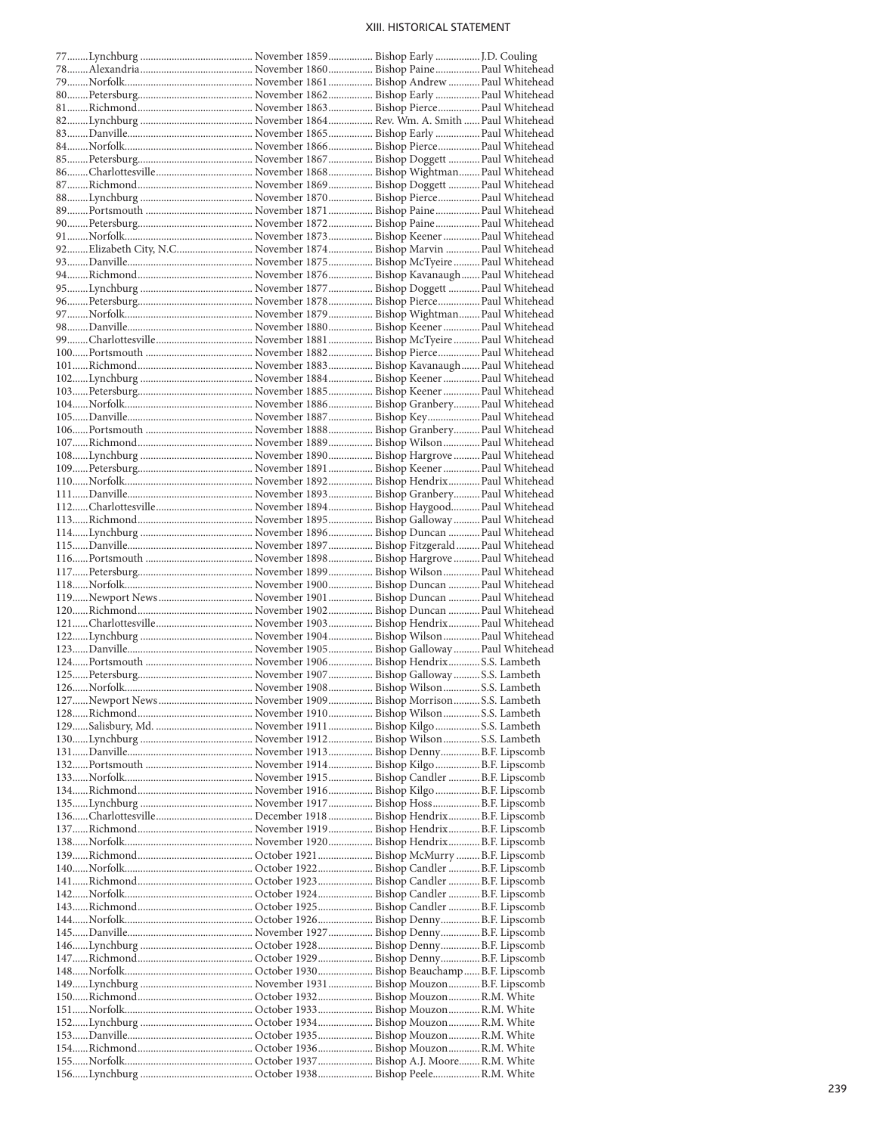### XIII. HISTORICAL STATEMENT

| 92Elizabeth City, N.C November 1874 Bishop Marvin  Paul Whitehead |  |  |  |
|-------------------------------------------------------------------|--|--|--|
|                                                                   |  |  |  |
|                                                                   |  |  |  |
|                                                                   |  |  |  |
|                                                                   |  |  |  |
|                                                                   |  |  |  |
|                                                                   |  |  |  |
|                                                                   |  |  |  |
|                                                                   |  |  |  |
|                                                                   |  |  |  |
|                                                                   |  |  |  |
|                                                                   |  |  |  |
|                                                                   |  |  |  |
|                                                                   |  |  |  |
|                                                                   |  |  |  |
|                                                                   |  |  |  |
|                                                                   |  |  |  |
|                                                                   |  |  |  |
|                                                                   |  |  |  |
|                                                                   |  |  |  |
|                                                                   |  |  |  |
|                                                                   |  |  |  |
|                                                                   |  |  |  |
|                                                                   |  |  |  |
|                                                                   |  |  |  |
|                                                                   |  |  |  |
|                                                                   |  |  |  |
|                                                                   |  |  |  |
|                                                                   |  |  |  |
|                                                                   |  |  |  |
|                                                                   |  |  |  |
|                                                                   |  |  |  |
|                                                                   |  |  |  |
|                                                                   |  |  |  |
|                                                                   |  |  |  |
|                                                                   |  |  |  |
|                                                                   |  |  |  |
|                                                                   |  |  |  |
|                                                                   |  |  |  |
|                                                                   |  |  |  |
|                                                                   |  |  |  |
|                                                                   |  |  |  |
|                                                                   |  |  |  |
|                                                                   |  |  |  |
|                                                                   |  |  |  |
|                                                                   |  |  |  |
|                                                                   |  |  |  |
|                                                                   |  |  |  |
|                                                                   |  |  |  |
|                                                                   |  |  |  |
|                                                                   |  |  |  |
|                                                                   |  |  |  |
|                                                                   |  |  |  |
|                                                                   |  |  |  |
|                                                                   |  |  |  |
|                                                                   |  |  |  |
|                                                                   |  |  |  |
|                                                                   |  |  |  |
|                                                                   |  |  |  |
|                                                                   |  |  |  |
|                                                                   |  |  |  |
|                                                                   |  |  |  |
|                                                                   |  |  |  |